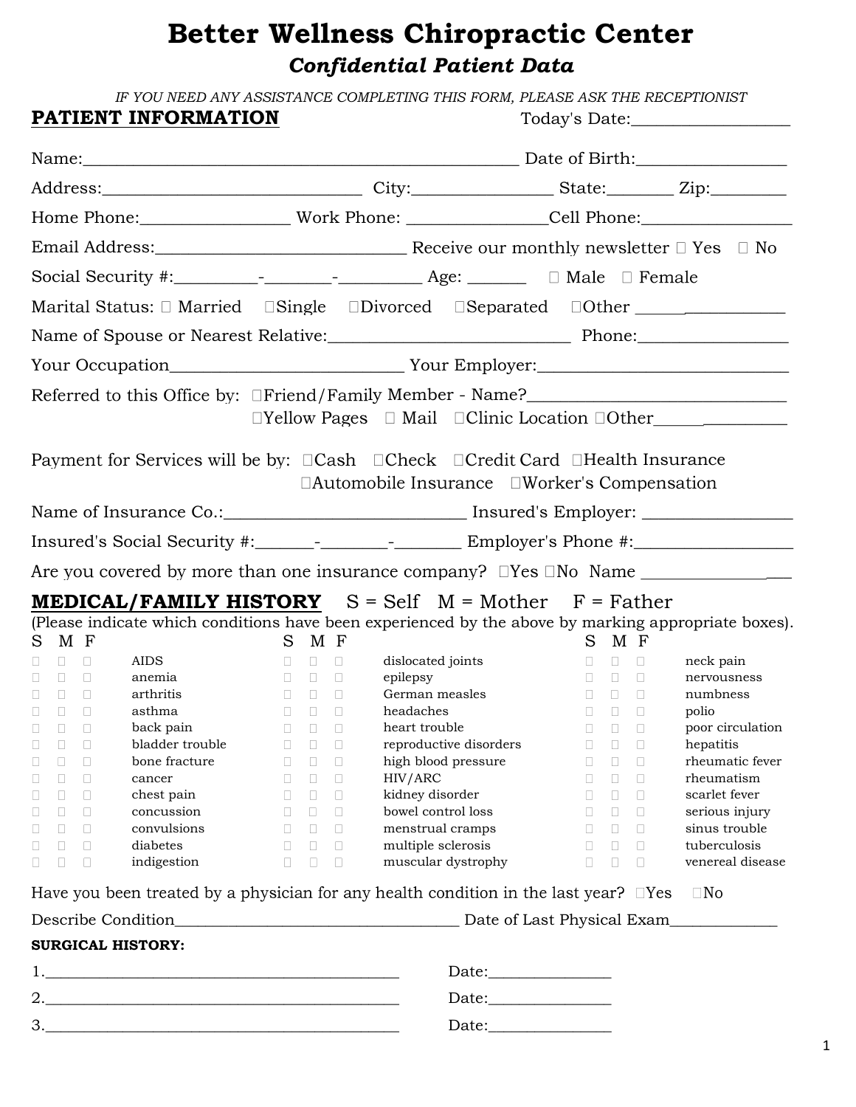# **Better Wellness Chiropractic Center** *Confidential Patient Data*

*IF YOU NEED ANY ASSISTANCE COMPLETING THIS FORM, PLEASE ASK THE RECEPTIONIST* **PATIENT INFORMATION** Today's Date:

| I AIIBN I INFONMAIION                                                                                |                                                                                                        |                                              | $10u$ ay S Dalt. $\_\_\_\_\_\_\_\_\_\_$                                                                                                                                                                                                                                                                                                                                                                                                                                                                                                                                                                                                     |
|------------------------------------------------------------------------------------------------------|--------------------------------------------------------------------------------------------------------|----------------------------------------------|---------------------------------------------------------------------------------------------------------------------------------------------------------------------------------------------------------------------------------------------------------------------------------------------------------------------------------------------------------------------------------------------------------------------------------------------------------------------------------------------------------------------------------------------------------------------------------------------------------------------------------------------|
|                                                                                                      |                                                                                                        | Name: <u>Name:</u> Date of Birth: 2008.      |                                                                                                                                                                                                                                                                                                                                                                                                                                                                                                                                                                                                                                             |
|                                                                                                      |                                                                                                        |                                              |                                                                                                                                                                                                                                                                                                                                                                                                                                                                                                                                                                                                                                             |
|                                                                                                      |                                                                                                        |                                              |                                                                                                                                                                                                                                                                                                                                                                                                                                                                                                                                                                                                                                             |
|                                                                                                      |                                                                                                        |                                              |                                                                                                                                                                                                                                                                                                                                                                                                                                                                                                                                                                                                                                             |
|                                                                                                      |                                                                                                        |                                              |                                                                                                                                                                                                                                                                                                                                                                                                                                                                                                                                                                                                                                             |
|                                                                                                      |                                                                                                        |                                              |                                                                                                                                                                                                                                                                                                                                                                                                                                                                                                                                                                                                                                             |
| Marital Status: D Married  DSingle  Divorced  DSeparated  DOther _______________                     |                                                                                                        |                                              |                                                                                                                                                                                                                                                                                                                                                                                                                                                                                                                                                                                                                                             |
| Name of Spouse or Nearest Relative: Phone: Phone: Phone:                                             |                                                                                                        |                                              |                                                                                                                                                                                                                                                                                                                                                                                                                                                                                                                                                                                                                                             |
|                                                                                                      |                                                                                                        |                                              |                                                                                                                                                                                                                                                                                                                                                                                                                                                                                                                                                                                                                                             |
|                                                                                                      |                                                                                                        |                                              |                                                                                                                                                                                                                                                                                                                                                                                                                                                                                                                                                                                                                                             |
|                                                                                                      |                                                                                                        |                                              | $\Box$ Yellow Pages $\Box$ Mail $\Box$ Clinic Location $\Box$ Other                                                                                                                                                                                                                                                                                                                                                                                                                                                                                                                                                                         |
|                                                                                                      |                                                                                                        |                                              |                                                                                                                                                                                                                                                                                                                                                                                                                                                                                                                                                                                                                                             |
|                                                                                                      |                                                                                                        |                                              |                                                                                                                                                                                                                                                                                                                                                                                                                                                                                                                                                                                                                                             |
| Payment for Services will be by: □Cash □Check □Credit Card □Health Insurance                         |                                                                                                        |                                              |                                                                                                                                                                                                                                                                                                                                                                                                                                                                                                                                                                                                                                             |
|                                                                                                      |                                                                                                        | □Automobile Insurance □Worker's Compensation |                                                                                                                                                                                                                                                                                                                                                                                                                                                                                                                                                                                                                                             |
| Name of Insurance Co.:______________________________ Insured's Employer: ___________________________ |                                                                                                        |                                              |                                                                                                                                                                                                                                                                                                                                                                                                                                                                                                                                                                                                                                             |
|                                                                                                      |                                                                                                        |                                              |                                                                                                                                                                                                                                                                                                                                                                                                                                                                                                                                                                                                                                             |
|                                                                                                      |                                                                                                        |                                              |                                                                                                                                                                                                                                                                                                                                                                                                                                                                                                                                                                                                                                             |
|                                                                                                      |                                                                                                        |                                              |                                                                                                                                                                                                                                                                                                                                                                                                                                                                                                                                                                                                                                             |
| <b>MEDICAL/FAMILY HISTORY</b> $S = Self$ $M = Mother$ $F = Father$                                   |                                                                                                        |                                              |                                                                                                                                                                                                                                                                                                                                                                                                                                                                                                                                                                                                                                             |
| (Please indicate which conditions have been experienced by the above by marking appropriate boxes).  |                                                                                                        |                                              |                                                                                                                                                                                                                                                                                                                                                                                                                                                                                                                                                                                                                                             |
| S M F                                                                                                | S M F                                                                                                  |                                              | S M F                                                                                                                                                                                                                                                                                                                                                                                                                                                                                                                                                                                                                                       |
| $\Box$<br>AIDS<br>П.                                                                                 | dislocated joints                                                                                      |                                              | $\begin{array}{ccccccccccccc} \square & \square & \square & \square & \cdots & \square & \cdots & \square & \cdots & \square & \cdots & \square & \cdots & \square & \cdots & \square & \cdots & \square & \cdots & \square & \cdots & \square & \cdots & \square & \cdots & \square & \cdots & \square & \cdots & \square & \cdots & \square & \cdots & \square & \cdots & \square & \cdots & \square & \cdots & \square & \cdots & \square & \cdots & \square & \cdots & \square & \cdots & \square & \cdots & \square & \cdots & \square & \cdots & \square & \cdots & \square & \cdots & \square & \cdots & \square & \cd$<br>neck pain |
| $\Box$<br>anemia<br>$\Box$                                                                           | epilepsy<br>$\begin{array}{ccccccccccccc} \square & \square & \square & \square & \square \end{array}$ |                                              | $\begin{array}{ccccccccccccc} \textbf{D} & \textbf{D} & \textbf{D} & \textbf{D} \end{array}$<br>nervousness                                                                                                                                                                                                                                                                                                                                                                                                                                                                                                                                 |
| $\Box$<br>arthritis<br>$\Box$                                                                        | German measles                                                                                         |                                              | $\begin{array}{ccccccccccccc} \textbf{D} & \textbf{D} & \textbf{D} & \textbf{D} \end{array}$<br>numbness                                                                                                                                                                                                                                                                                                                                                                                                                                                                                                                                    |
| $\begin{array}{ccc} & \square & \square \end{array}$<br>$\Box$<br>asthma                             | headaches                                                                                              |                                              | $\begin{array}{ccccccccccccc} \textbf{a} & \textbf{b} & \textbf{c} & \textbf{c} & \textbf{d} & \textbf{c} & \textbf{d} & \textbf{c} & \textbf{d} & \textbf{c} & \textbf{d} & \textbf{c} & \textbf{d} & \textbf{c} & \textbf{d} & \textbf{c} & \textbf{d} & \textbf{c} & \textbf{d} & \textbf{c} & \textbf{d} & \textbf{c} & \textbf{d} & \textbf{c} & \textbf{d} & \textbf{c} & \textbf{d} & \textbf{c} & \textbf{d} & \textbf{c} &$<br>polio                                                                                                                                                                                               |
| $\begin{array}{ccc} \square & \square & \square \end{array}$<br>$\Box$<br>back pain                  | heart trouble                                                                                          |                                              | $\begin{array}{ccccccccccccc} \square & \square & \square & \square & \square \end{array}$<br>poor circulation                                                                                                                                                                                                                                                                                                                                                                                                                                                                                                                              |
| □ □ □ bladder trouble □ □ □ reproductive disorders □ □ □ hepatitis                                   |                                                                                                        |                                              |                                                                                                                                                                                                                                                                                                                                                                                                                                                                                                                                                                                                                                             |
| bone fracture<br>O<br>$\Box$<br>u                                                                    | O<br>$\Box$<br>u                                                                                       | high blood pressure<br>U                     | rheumatic fever<br>O.<br>O                                                                                                                                                                                                                                                                                                                                                                                                                                                                                                                                                                                                                  |
| O<br>O<br>cancer<br>Ш                                                                                | HIV/ARC<br>O<br>O<br>O                                                                                 | П                                            | rheumatism<br>O<br>O                                                                                                                                                                                                                                                                                                                                                                                                                                                                                                                                                                                                                        |
| chest pain<br>O<br>□<br>П                                                                            | kidney disorder<br>O<br>D<br>O.                                                                        | П.                                           | scarlet fever<br>$\Box$<br>O                                                                                                                                                                                                                                                                                                                                                                                                                                                                                                                                                                                                                |
| concussion<br>O<br>П<br>П                                                                            | O<br>$\Box$<br>$\Box$                                                                                  | bowel control loss<br>П                      | serious injury<br>$\Box$<br>$\Box$                                                                                                                                                                                                                                                                                                                                                                                                                                                                                                                                                                                                          |
| convulsions<br>O<br>П<br>П                                                                           | O<br>$\Box$<br>$\Box$                                                                                  | menstrual cramps<br>П.                       | sinus trouble<br>$\Box$<br>$\Box$                                                                                                                                                                                                                                                                                                                                                                                                                                                                                                                                                                                                           |
| diabetes<br>□<br>O<br>u                                                                              | П<br>$\Box$<br>$\Box$                                                                                  | multiple sclerosis<br>П                      | tuberculosis<br>$\Box$<br>$\Box$                                                                                                                                                                                                                                                                                                                                                                                                                                                                                                                                                                                                            |
| indigestion<br>$\Box$<br>П<br>П                                                                      | $\Box$<br>П.<br>$\Box$                                                                                 | muscular dystrophy<br>П.                     | venereal disease<br>П<br>$\Box$                                                                                                                                                                                                                                                                                                                                                                                                                                                                                                                                                                                                             |
| Have you been treated by a physician for any health condition in the last year? DYes                 |                                                                                                        |                                              | $\square$ No                                                                                                                                                                                                                                                                                                                                                                                                                                                                                                                                                                                                                                |
|                                                                                                      |                                                                                                        |                                              |                                                                                                                                                                                                                                                                                                                                                                                                                                                                                                                                                                                                                                             |
| <b>SURGICAL HISTORY:</b>                                                                             |                                                                                                        |                                              |                                                                                                                                                                                                                                                                                                                                                                                                                                                                                                                                                                                                                                             |
|                                                                                                      |                                                                                                        |                                              |                                                                                                                                                                                                                                                                                                                                                                                                                                                                                                                                                                                                                                             |
| 2.                                                                                                   |                                                                                                        |                                              |                                                                                                                                                                                                                                                                                                                                                                                                                                                                                                                                                                                                                                             |
| $\begin{array}{c} 3. \end{array}$                                                                    |                                                                                                        |                                              |                                                                                                                                                                                                                                                                                                                                                                                                                                                                                                                                                                                                                                             |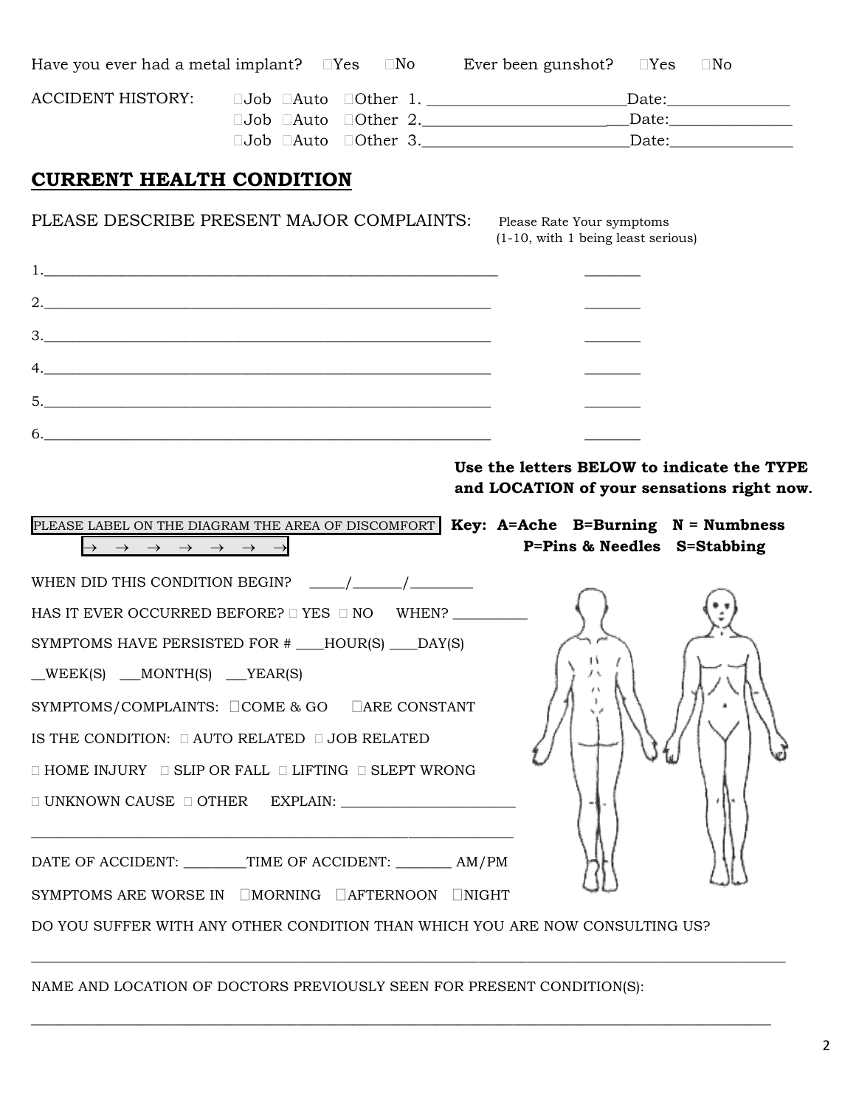| Have you ever had a metal implant? $\Box$ Yes $\Box$ No Ever been gunshot? $\Box$ Yes $\Box$ No |                                                                                                                                                                                                                                                                                                                                                                                             |                                                                                                                      |
|-------------------------------------------------------------------------------------------------|---------------------------------------------------------------------------------------------------------------------------------------------------------------------------------------------------------------------------------------------------------------------------------------------------------------------------------------------------------------------------------------------|----------------------------------------------------------------------------------------------------------------------|
|                                                                                                 |                                                                                                                                                                                                                                                                                                                                                                                             | ACCIDENT HISTORY: JJob DAuto DOther 1. ____________________________Date:____________________________                 |
|                                                                                                 |                                                                                                                                                                                                                                                                                                                                                                                             |                                                                                                                      |
|                                                                                                 |                                                                                                                                                                                                                                                                                                                                                                                             | $\square$ Job $\square$ Auto $\square$ Other 3.                                                                      |
| <b>CURRENT HEALTH CONDITION</b>                                                                 |                                                                                                                                                                                                                                                                                                                                                                                             |                                                                                                                      |
|                                                                                                 | PLEASE DESCRIBE PRESENT MAJOR COMPLAINTS:                                                                                                                                                                                                                                                                                                                                                   | Please Rate Your symptoms<br>(1-10, with 1 being least serious)                                                      |
|                                                                                                 |                                                                                                                                                                                                                                                                                                                                                                                             |                                                                                                                      |
|                                                                                                 | 2.                                                                                                                                                                                                                                                                                                                                                                                          |                                                                                                                      |
|                                                                                                 | 3.                                                                                                                                                                                                                                                                                                                                                                                          |                                                                                                                      |
|                                                                                                 |                                                                                                                                                                                                                                                                                                                                                                                             |                                                                                                                      |
|                                                                                                 | 5.                                                                                                                                                                                                                                                                                                                                                                                          |                                                                                                                      |
|                                                                                                 |                                                                                                                                                                                                                                                                                                                                                                                             |                                                                                                                      |
|                                                                                                 |                                                                                                                                                                                                                                                                                                                                                                                             |                                                                                                                      |
|                                                                                                 |                                                                                                                                                                                                                                                                                                                                                                                             |                                                                                                                      |
|                                                                                                 |                                                                                                                                                                                                                                                                                                                                                                                             | Use the letters BELOW to indicate the TYPE                                                                           |
|                                                                                                 |                                                                                                                                                                                                                                                                                                                                                                                             | and LOCATION of your sensations right now.                                                                           |
| $\rightarrow \rightarrow \rightarrow \rightarrow \rightarrow \rightarrow \rightarrow$           |                                                                                                                                                                                                                                                                                                                                                                                             | PLEASE LABEL ON THE DIAGRAM THE AREA OF DISCOMFORT Key: A=Ache B=Burning N = Numbness<br>P=Pins & Needles S=Stabbing |
|                                                                                                 | WHEN DID THIS CONDITION BEGIN? $\frac{1}{\frac{1}{1-\frac{1}{1-\frac{1}{1-\frac{1}{1-\frac{1}{1-\frac{1}{1-\frac{1}{1-\frac{1}{1-\frac{1}{1-\frac{1}{1-\frac{1}{1-\frac{1}{1-\frac{1}{1-\frac{1}{1-\frac{1}{1-\frac{1}{1-\frac{1}{1-\frac{1}{1-\frac{1}{1-\frac{1}{1-\frac{1}{1-\frac{1}{1-\frac{1}{1-\frac{1}{1-\frac{1}{1-\frac{1}{1-\frac{1}{1-\frac{1}{1-\frac{1}{1-\frac{1}{1-\frac{1$ |                                                                                                                      |
|                                                                                                 | HAS IT EVER OCCURRED BEFORE? $\square$ YES $\square$ NO WHEN?                                                                                                                                                                                                                                                                                                                               |                                                                                                                      |
|                                                                                                 | SYMPTOMS HAVE PERSISTED FOR # ___HOUR(S) ___DAY(S)                                                                                                                                                                                                                                                                                                                                          |                                                                                                                      |
| $\text{WEEK}(S)$ $\text{MONTH}(S)$ $\text{YEAR}(S)$                                             |                                                                                                                                                                                                                                                                                                                                                                                             |                                                                                                                      |
|                                                                                                 |                                                                                                                                                                                                                                                                                                                                                                                             |                                                                                                                      |
|                                                                                                 | SYMPTOMS/COMPLAINTS: COME & GO CARE CONSTANT<br>IS THE CONDITION: $\Box$ AUTO RELATED $\Box$ JOB RELATED                                                                                                                                                                                                                                                                                    |                                                                                                                      |
|                                                                                                 |                                                                                                                                                                                                                                                                                                                                                                                             |                                                                                                                      |
|                                                                                                 | $\Box$ HOME INJURY $\Box$ SLIP OR FALL $\Box$ LIFTING $\Box$ SLEPT WRONG                                                                                                                                                                                                                                                                                                                    |                                                                                                                      |
|                                                                                                 | $\Box$ UNKNOWN CAUSE $\Box$ OTHER EXPLAIN:                                                                                                                                                                                                                                                                                                                                                  |                                                                                                                      |
|                                                                                                 |                                                                                                                                                                                                                                                                                                                                                                                             |                                                                                                                      |
|                                                                                                 | DATE OF ACCIDENT: ________TIME OF ACCIDENT: ________ AM/PM<br>SYMPTOMS ARE WORSE IN <b>IMORNING IAFTERNOON</b> INIGHT                                                                                                                                                                                                                                                                       |                                                                                                                      |

NAME AND LOCATION OF DOCTORS PREVIOUSLY SEEN FOR PRESENT CONDITION(S):

 $\_$  , and the state of the state of the state of the state of the state of the state of the state of the state of the state of the state of the state of the state of the state of the state of the state of the state of the